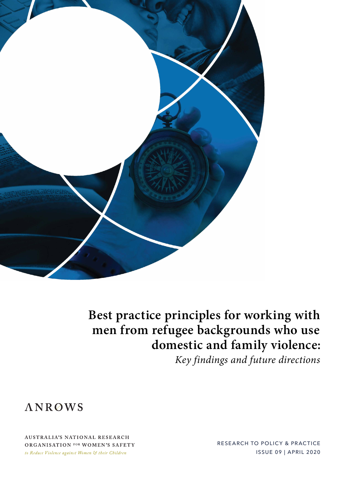

**Best practice principles for working with men from refugee backgrounds who use domestic and family violence:**

*Key findings and future directions*



**AUSTRALIA'S NATIONAL RESEARCH** ORGANISATION FOR WOMEN'S SAFETY to Reduce Violence against Women & their Children

RESEARCH TO POLICY & PRACTICE ISSUE 09 | APRIL 2020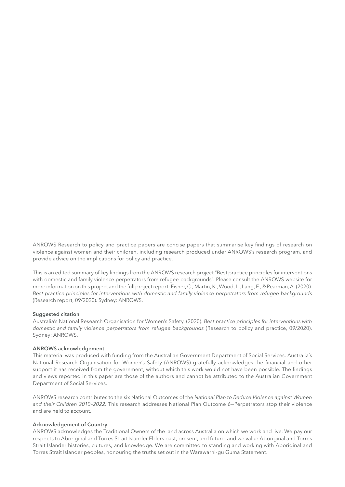ANROWS Research to policy and practice papers are concise papers that summarise key findings of research on violence against women and their children, including research produced under ANROWS's research program, and provide advice on the implications for policy and practice.

This is an edited summary of key findings from the ANROWS research project "Best practice principles for interventions with domestic and family violence perpetrators from refugee backgrounds". Please consult the ANROWS website for more information on this project and the full project report: Fisher, C., Martin, K., Wood, L., Lang, E., & Pearman, A. (2020). Best practice principles for interventions with domestic and family violence perpetrators from refugee backgrounds (Research report, 09/2020). Sydney: ANROWS.

### **Suggested citation**

Australia's National Research Organisation for Women's Safety. (2020). *Best practice principles for interventions with domestic and family violence perpetrators from refugee backgrounds* (Research to policy and practice, 09/2020). Sydney: ANROWS.

#### **ANROWS acknowledgement**

This material was produced with funding from the Australian Government Department of Social Services. Australia's National Research Organisation for Women's Safety (ANROWS) gratefully acknowledges the financial and other support it has received from the government, without which this work would not have been possible. The findings and views reported in this paper are those of the authors and cannot be attributed to the Australian Government Department of Social Services.

ANROWS research contributes to the six National Outcomes of the *National Plan to Reduce Violence against Women and their Children 2010–2022*. This research addresses National Plan Outcome 6—Perpetrators stop their violence and are held to account.

#### **Acknowledgement of Country**

ANROWS acknowledges the Traditional Owners of the land across Australia on which we work and live. We pay our respects to Aboriginal and Torres Strait Islander Elders past, present, and future, and we value Aboriginal and Torres Strait Islander histories, cultures, and knowledge. We are committed to standing and working with Aboriginal and Torres Strait Islander peoples, honouring the truths set out in the Warawarni-gu Guma Statement.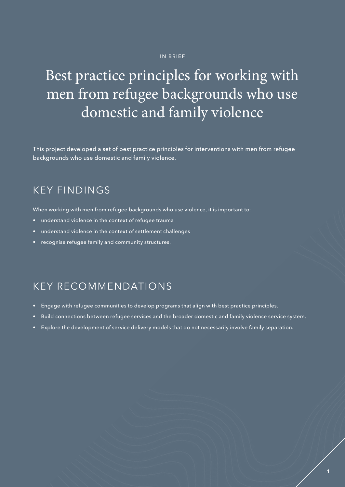### IN BRIEF

## Best practice principles for working with men from refugee backgrounds who use domestic and family violence

This project developed a set of best practice principles for interventions with men from refugee backgrounds who use domestic and family violence.

## KEY FINDINGS

When working with men from refugee backgrounds who use violence, it is important to:

- understand violence in the context of refugee trauma
- understand violence in the context of settlement challenges
- recognise refugee family and community structures.

## KEY RECOMMENDATIONS

- Engage with refugee communities to develop programs that align with best practice principles.
- Build connections between refugee services and the broader domestic and family violence service system.
- Explore the development of service delivery models that do not necessarily involve family separation.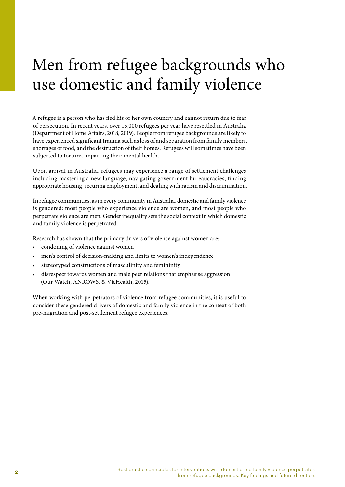# Men from refugee backgrounds who use domestic and family violence

A refugee is a person who has fled his or her own country and cannot return due to fear of persecution. In recent years, over 15,000 refugees per year have resettled in Australia (Department of Home Affairs, 2018, 2019). People from refugee backgrounds are likely to have experienced significant trauma such as loss of and separation from family members, shortages of food, and the destruction of their homes. Refugees will sometimes have been subjected to torture, impacting their mental health.

Upon arrival in Australia, refugees may experience a range of settlement challenges including mastering a new language, navigating government bureaucracies, finding appropriate housing, securing employment, and dealing with racism and discrimination.

In refugee communities, as in every community in Australia, domestic and family violence is gendered: most people who experience violence are women, and most people who perpetrate violence are men. Gender inequality sets the social context in which domestic and family violence is perpetrated.

Research has shown that the primary drivers of violence against women are:

- condoning of violence against women
- men's control of decision-making and limits to women's independence
- stereotyped constructions of masculinity and femininity
- disrespect towards women and male peer relations that emphasise aggression (Our Watch, ANROWS, & VicHealth, 2015).

When working with perpetrators of violence from refugee communities, it is useful to consider these gendered drivers of domestic and family violence in the context of both pre-migration and post-settlement refugee experiences.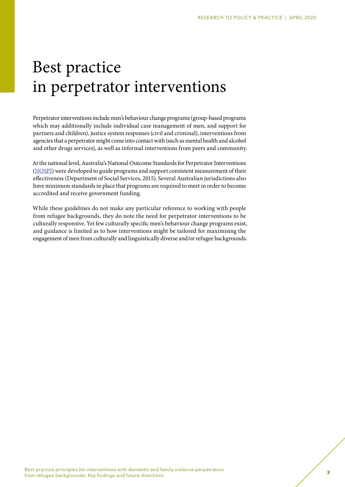# Best practice in perpetrator interventions

Perpetrator interventions include men's behaviour change programs (group-based programs which may additionally include individual case management of men, and support for partners and children), justice system responses (civil and criminal), interventions from agencies that a perpetrator might come into contact with (such as mental health and alcohol and other drugs services), as well as informal interventions from peers and community.

At the national level, Australia's National Outcome Standards for Perpetrator Interventions [\(NOSPI\)](https://www.coag.gov.au/sites/default/files/communique/National_Outcome_Standards_Perpetrator_Interventions.pdf) were developed to guide programs and support consistent measurement of their effectiveness (Department of Social Services, 2015). Several Australian jurisdictions also have minimum standards in place that programs are required to meet in order to become accredited and receive government funding.

While these guidelines do not make any particular reference to working with people from refugee backgrounds, they do note the need for perpetrator interventions to be culturally responsive. Yet few culturally specific men's behaviour change programs exist, and guidance is limited as to how interventions might be tailored for maximising the engagement of men from culturally and linguistically diverse and/or refugee backgrounds.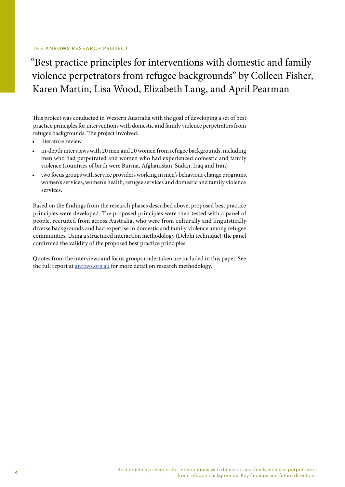### THE ANROWS RESEARCH PROJECT

"Best practice principles for interventions with domestic and family violence perpetrators from refugee backgrounds" by Colleen Fisher, Karen Martin, Lisa Wood, Elizabeth Lang, and April Pearman

This project was conducted in Western Australia with the goal of developing a set of best practice principles for interventions with domestic and family violence perpetrators from refugee backgrounds. The project involved:

- literature review
- in-depth interviews with 20 men and 20 women from refugee backgrounds, including men who had perpetrated and women who had experienced domestic and family violence (countries of birth were Burma, Afghanistan, Sudan, Iraq and Iran)
- two focus groups with service providers working in men's behaviour change programs, women's services, women's health, refugee services and domestic and family violence services.

Based on the findings from the research phases described above, proposed best practice principles were developed. The proposed principles were then tested with a panel of people, recruited from across Australia, who were from culturally and linguistically diverse backgrounds and had expertise in domestic and family violence among refugee communities. Using a structured interaction methodology (Delphi technique), the panel confirmed the validity of the proposed best practice principles.

Quotes from the interviews and focus groups undertaken are included in this paper. See the full report at **anrows.org.au** for more detail on research methodology.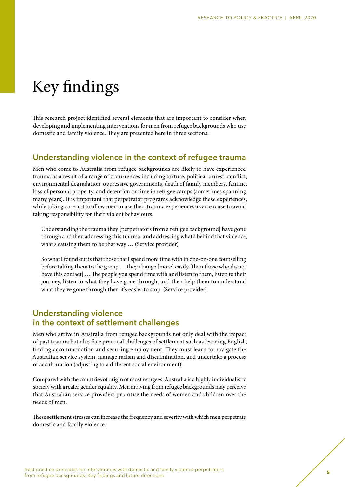# Key findings

This research project identified several elements that are important to consider when developing and implementing interventions for men from refugee backgrounds who use domestic and family violence. They are presented here in three sections.

### **Understanding violence in the context of refugee trauma**

Men who come to Australia from refugee backgrounds are likely to have experienced trauma as a result of a range of occurrences including torture, political unrest, conflict, environmental degradation, oppressive governments, death of family members, famine, loss of personal property, and detention or time in refugee camps (sometimes spanning many years). It is important that perpetrator programs acknowledge these experiences, while taking care not to allow men to use their trauma experiences as an excuse to avoid taking responsibility for their violent behaviours.

Understanding the trauma they [perpetrators from a refugee background] have gone through and then addressing this trauma, and addressing what's behind that violence, what's causing them to be that way … (Service provider)

So what I found out is that those that I spend more time with in one-on-one counselling before taking them to the group … they change [more] easily [than those who do not have this contact] … The people you spend time with and listen to them, listen to their journey, listen to what they have gone through, and then help them to understand what they've gone through then it's easier to stop. (Service provider)

### **Understanding violence in the context of settlement challenges**

Men who arrive in Australia from refugee backgrounds not only deal with the impact of past trauma but also face practical challenges of settlement such as learning English, finding accommodation and securing employment. They must learn to navigate the Australian service system, manage racism and discrimination, and undertake a process of acculturation (adjusting to a different social environment).

Compared with the countries of origin of most refugees, Australia is a highly individualistic society with greater gender equality. Men arriving from refugee backgrounds may perceive that Australian service providers prioritise the needs of women and children over the needs of men.

These settlement stresses can increase the frequency and severity with which men perpetrate domestic and family violence.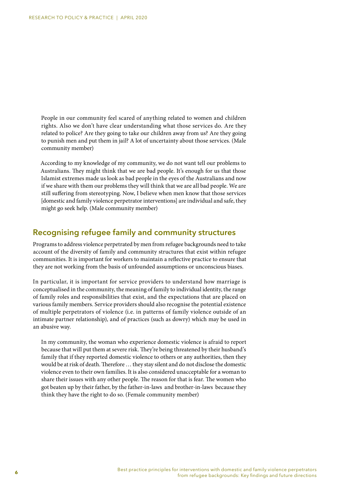People in our community feel scared of anything related to women and children rights. Also we don't have clear understanding what those services do. Are they related to police? Are they going to take our children away from us? Are they going to punish men and put them in jail? A lot of uncertainty about those services. (Male community member)

According to my knowledge of my community, we do not want tell our problems to Australians. They might think that we are bad people. It's enough for us that those Islamist extremes made us look as bad people in the eyes of the Australians and now if we share with them our problems they will think that we are all bad people. We are still suffering from stereotyping. Now, I believe when men know that those services [domestic and family violence perpetrator interventions] are individual and safe, they might go seek help. (Male community member)

### **Recognising refugee family and community structures**

Programs to address violence perpetrated by men from refugee backgrounds need to take account of the diversity of family and community structures that exist within refugee communities. It is important for workers to maintain a reflective practice to ensure that they are not working from the basis of unfounded assumptions or unconscious biases.

In particular, it is important for service providers to understand how marriage is conceptualised in the community, the meaning of family to individual identity, the range of family roles and responsibilities that exist, and the expectations that are placed on various family members. Service providers should also recognise the potential existence of multiple perpetrators of violence (i.e. in patterns of family violence outside of an intimate partner relationship), and of practices (such as dowry) which may be used in an abusive way.

In my community, the woman who experience domestic violence is afraid to report because that will put them at severe risk. They're being threatened by their husband's family that if they reported domestic violence to others or any authorities, then they would be at risk of death. Therefore … they stay silent and do not disclose the domestic violence even to their own families. It is also considered unacceptable for a woman to share their issues with any other people. The reason for that is fear. The women who got beaten up by their father, by the father-in-laws and brother-in-laws because they think they have the right to do so. (Female community member)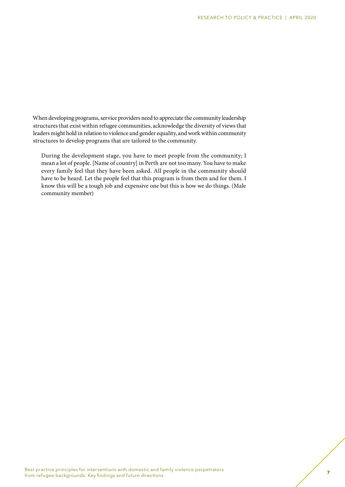When developing programs, service providers need to appreciate the community leadership structures that exist within refugee communities, acknowledge the diversity of views that leaders might hold in relation to violence and gender equality, and work within community structures to develop programs that are tailored to the community.

During the development stage, you have to meet people from the community; I mean a lot of people. [Name of country] in Perth are not too many. You have to make every family feel that they have been asked. All people in the community should have to be heard. Let the people feel that this program is from them and for them. I know this will be a tough job and expensive one but this is how we do things. (Male community member)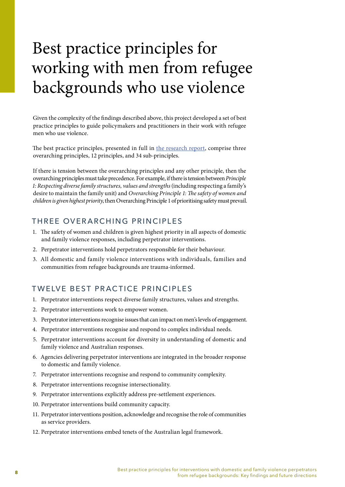# Best practice principles for working with men from refugee backgrounds who use violence

Given the complexity of the findings described above, this project developed a set of best practice principles to guide policymakers and practitioners in their work with refugee men who use violence.

The best practice principles, presented in full in [the research report,](https://www.anrows.org.au/project/best-practice-principles-for-interventions-with-domestic-and-family-violence-perpetrators-from-refugee-backgrounds/) comprise three overarching principles, 12 principles, and 34 sub-principles.

If there is tension between the overarching principles and any other principle, then the overarching principles must take precedence. For example, if there is tension between *Principle 1: Respecting diverse family structures, values and strengths* (including respecting a family's desire to maintain the family unit) and *Overarching Principle 1: The safety of women and children is given highest priority*, then Overarching Principle 1 of prioritising safety must prevail.

### THREE OVERARCHING PRINCIPLES

- 1. The safety of women and children is given highest priority in all aspects of domestic and family violence responses, including perpetrator interventions.
- 2. Perpetrator interventions hold perpetrators responsible for their behaviour.
- 3. All domestic and family violence interventions with individuals, families and communities from refugee backgrounds are trauma-informed.

## TWELVE BEST PRACTICE PRINCIPLES

- 1. Perpetrator interventions respect diverse family structures, values and strengths.
- 2. Perpetrator interventions work to empower women.
- 3. Perpetrator interventions recognise issues that can impact on men's levels of engagement.
- 4. Perpetrator interventions recognise and respond to complex individual needs.
- 5. Perpetrator interventions account for diversity in understanding of domestic and family violence and Australian responses.
- 6. Agencies delivering perpetrator interventions are integrated in the broader response to domestic and family violence.
- 7. Perpetrator interventions recognise and respond to community complexity.
- 8. Perpetrator interventions recognise intersectionality.
- 9. Perpetrator interventions explicitly address pre-settlement experiences.
- 10. Perpetrator interventions build community capacity.
- 11. Perpetrator interventions position, acknowledge and recognise the role of communities as service providers.
- 12. Perpetrator interventions embed tenets of the Australian legal framework.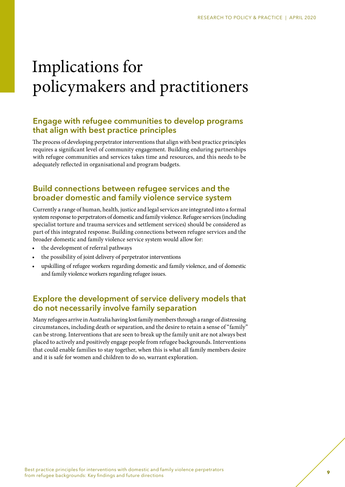# Implications for policymakers and practitioners

## **Engage with refugee communities to develop programs that align with best practice principles**

The process of developing perpetrator interventions that align with best practice principles requires a significant level of community engagement. Building enduring partnerships with refugee communities and services takes time and resources, and this needs to be adequately reflected in organisational and program budgets.

## **Build connections between refugee services and the broader domestic and family violence service system**

Currently a range of human, health, justice and legal services are integrated into a formal system response to perpetrators of domestic and family violence. Refugee services (including specialist torture and trauma services and settlement services) should be considered as part of this integrated response. Building connections between refugee services and the broader domestic and family violence service system would allow for:

- the development of referral pathways
- the possibility of joint delivery of perpetrator interventions
- upskilling of refugee workers regarding domestic and family violence, and of domestic and family violence workers regarding refugee issues.

## **Explore the development of service delivery models that do not necessarily involve family separation**

Many refugees arrive in Australia having lost family members through a range of distressing circumstances, including death or separation, and the desire to retain a sense of "family" can be strong. Interventions that are seen to break up the family unit are not always best placed to actively and positively engage people from refugee backgrounds. Interventions that could enable families to stay together, when this is what all family members desire and it is safe for women and children to do so, warrant exploration.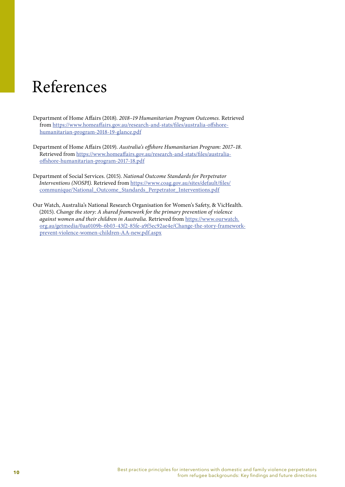## References

- Department of Home Affairs (2018). *2018–19 Humanitarian Program Outcomes.* Retrieved from [https://www.homeaffairs.gov.au/research-and-stats/files/australia-offshore](https://www.homeaffairs.gov.au/research-and-stats/files/australia-offshore-humanitarian-program-2018-19-glance.pdf)[humanitarian-program-2018-19-glance.pdf](https://www.homeaffairs.gov.au/research-and-stats/files/australia-offshore-humanitarian-program-2018-19-glance.pdf)
- Department of Home Affairs (2019). *Australia's offshore Humanitarian Program: 2017–18.*  Retrieved from [https://www.homeaffairs.gov.au/research-and-stats/files/australia](https://www.homeaffairs.gov.au/research-and-stats/files/australia-offshore-humanitarian-program-2017-18.pdf)[offshore-humanitarian-program-2017-18.pdf](https://www.homeaffairs.gov.au/research-and-stats/files/australia-offshore-humanitarian-program-2017-18.pdf)
- Department of Social Services. (2015). *National Outcome Standards for Perpetrator Interventions (NOSPI).* Retrieved from [https://www.coag.gov.au/sites/default/files/](https://www.coag.gov.au/sites/default/files/communique/National_Outcome_Standards_Perpetrator_Interventions.pdf) [communique/National\\_Outcome\\_Standards\\_Perpetrator\\_Interventions.pdf](https://www.coag.gov.au/sites/default/files/communique/National_Outcome_Standards_Perpetrator_Interventions.pdf)
- Our Watch, Australia's National Research Organisation for Women's Safety, & VicHealth. (2015). *Change the story: A shared framework for the primary prevention of violence against women and their children in Australia*. Retrieved from [https://www.ourwatch.](https://www.ourwatch.org.au/getmedia/0aa0109b-6b03-43f2-85fe-a9f5ec92ae4e/Change-the-story-framework-prevent-violence-women-children-AA-new.pdf.aspx) [org.au/getmedia/0aa0109b-6b03-43f2-85fe-a9f5ec92ae4e/Change-the-story-framework](https://www.ourwatch.org.au/getmedia/0aa0109b-6b03-43f2-85fe-a9f5ec92ae4e/Change-the-story-framework-prevent-violence-women-children-AA-new.pdf.aspx)[prevent-violence-women-children-AA-new.pdf.aspx](https://www.ourwatch.org.au/getmedia/0aa0109b-6b03-43f2-85fe-a9f5ec92ae4e/Change-the-story-framework-prevent-violence-women-children-AA-new.pdf.aspx)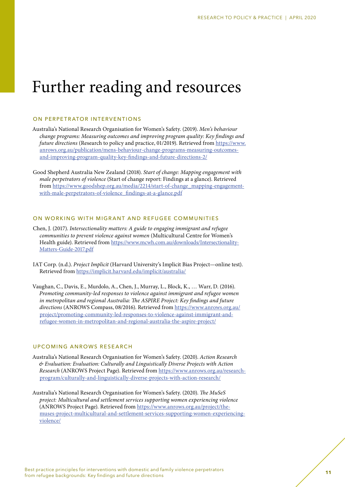## Further reading and resources

### ON PERPETRATOR INTERVENTIONS

Australia's National Research Organisation for Women's Safety. (2019). *Men's behaviour change programs: Measuring outcomes and improving program quality: Key findings and future directions* (Research to policy and practice, 01/2019). Retrieved from [https://www.](https://www.anrows.org.au/publication/mens-behaviour-change-programs-measuring-outcomes-and-improving-program-quality-key-findings-and-future-directions-2/) [anrows.org.au/publication/mens-behaviour-change-programs-measuring-outcomes](https://www.anrows.org.au/publication/mens-behaviour-change-programs-measuring-outcomes-and-improving-program-quality-key-findings-and-future-directions-2/)[and-improving-program-quality-key-findings-and-future-directions-2/](https://www.anrows.org.au/publication/mens-behaviour-change-programs-measuring-outcomes-and-improving-program-quality-key-findings-and-future-directions-2/)

Good Shepherd Australia New Zealand (2018). *Start of change: Mapping engagement with male perpetrators of violence* (Start of change report: Findings at a glance). Retrieved from [https://www.goodshep.org.au/media/2214/start-of-change\\_mapping-engagement](https://www.goodshep.org.au/media/2214/start-of-change_mapping-engagement-with-male-perpetrators-of-violence_findings-at-a-glance.pdf)[with-male-perpetrators-of-violence\\_findings-at-a-glance.pdf](https://www.goodshep.org.au/media/2214/start-of-change_mapping-engagement-with-male-perpetrators-of-violence_findings-at-a-glance.pdf)

### ON WORKING WITH MIGRANT AND REFUGEE COMMUNITIES

Chen, J. (2017). *Intersectionality matters: A guide to engaging immigrant and refugee communities to prevent violence against women* (Multicultural Centre for Women's Health guide). Retrieved from [https://www.mcwh.com.au/downloads/Intersectionality-](https://www.mcwh.com.au/downloads/Intersectionality-Matters-Guide-2017.pdf)[Matters-Guide-2017.pdf](https://www.mcwh.com.au/downloads/Intersectionality-Matters-Guide-2017.pdf)

IAT Corp. (n.d.). *Project Implicit* (Harvard University's Implicit Bias Project—online test). Retrieved from <https://implicit.harvard.edu/implicit/australia/>

Vaughan, C., Davis, E., Murdolo, A., Chen, J., Murray, L., Block, K., … Warr, D. (2016). *Promoting community-led responses to violence against immigrant and refugee women in metropolitan and regional Australia: The ASPIRE Project: Key findings and future directions* (ANROWS Compass, 08/2016). Retrieved from [https://www.anrows.org.au/](https://www.anrows.org.au/project/promoting-community-led-responses-to-violence-against-immigrant-and-refugee-women-in-metropolitan-and-regional-australia-the-aspire-project/) [project/promoting-community-led-responses-to-violence-against-immigrant-and](https://www.anrows.org.au/project/promoting-community-led-responses-to-violence-against-immigrant-and-refugee-women-in-metropolitan-and-regional-australia-the-aspire-project/)[refugee-women-in-metropolitan-and-regional-australia-the-aspire-project/](https://www.anrows.org.au/project/promoting-community-led-responses-to-violence-against-immigrant-and-refugee-women-in-metropolitan-and-regional-australia-the-aspire-project/)

### UPCOMING ANROWS RESEARCH

Australia's National Research Organisation for Women's Safety. (2020). *Action Research & Evaluation: Evaluation: Culturally and Linguistically Diverse Projects with Action Research* (ANROWS Project Page). Retrieved from [https://www.anrows.org.au/research](https://www.anrows.org.au/research-program/culturally-and-linguistically-diverse-projects-with-action-research/)[program/culturally-and-linguistically-diverse-projects-with-action-research/](https://www.anrows.org.au/research-program/culturally-and-linguistically-diverse-projects-with-action-research/) 

Australia's National Research Organisation for Women's Safety. (2020). *The MuSeS project: Multicultural and settlement services supporting women experiencing violence*  (ANROWS Project Page)*.* Retrieved from [https://www.anrows.org.au/project/the](https://www.anrows.org.au/project/the-muses-project-multicultural-and-settlement-services-supporting-women-experiencing-violence/)[muses-project-multicultural-and-settlement-services-supporting-women-experiencing](https://www.anrows.org.au/project/the-muses-project-multicultural-and-settlement-services-supporting-women-experiencing-violence/)[violence/](https://www.anrows.org.au/project/the-muses-project-multicultural-and-settlement-services-supporting-women-experiencing-violence/)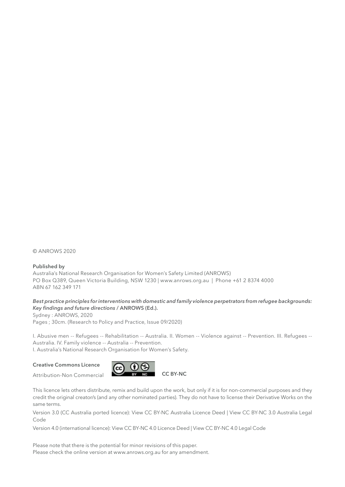© ANROWS 2020

### **Published by**

Australia's National Research Organisation for Women's Safety Limited (ANROWS) PO Box Q389, Queen Victoria Building, NSW 1230 | www.anrows.org.au | Phone +61 2 8374 4000 ABN 67 162 349 171

### *Best practice principles for interventions with domestic and family violence perpetrators from refugee backgrounds: Key findings and future directions* **/ ANROWS (Ed.).**

Sydney : ANROWS, 2020 Pages ; 30cm. (Research to Policy and Practice, Issue 09/2020)

I. Abusive men -- Refugees -- Rehabilitation -- Australia. II. Women -- Violence against -- Prevention. III. Refugees -- Australia. IV. Family violence -- Australia -- Prevention.

I. Australia's National Research Organisation for Women's Safety.

### **Creative Commons Licence**

Attribution-Non Commercial



This licence lets others distribute, remix and build upon the work, but only if it is for non-commercial purposes and they credit the original creator/s (and any other nominated parties). They do not have to license their Derivative Works on the same terms.

Version 3.0 (CC Australia ported licence): View CC BY-NC Australia Licence Deed | View CC BY-NC 3.0 Australia Legal Code

Version 4.0 (international licence): View CC BY-NC 4.0 Licence Deed | View CC BY-NC 4.0 Legal Code

Please note that there is the potential for minor revisions of this paper. Please check the online version at www.anrows.org.au for any amendment.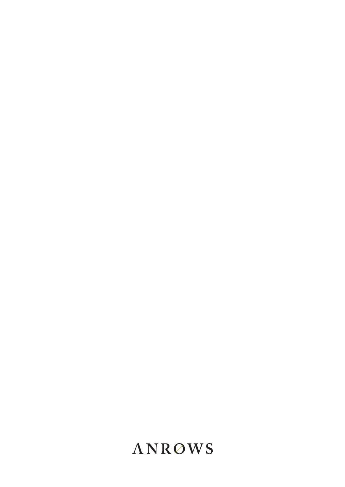## **ANROWS**